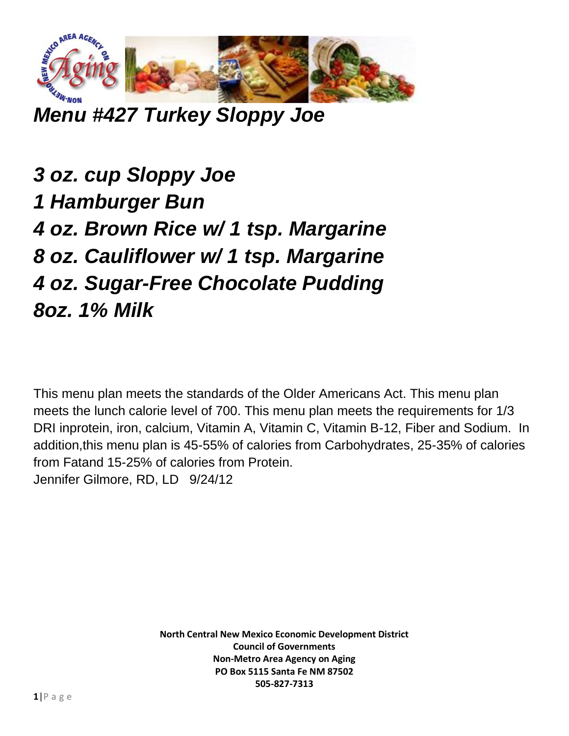

*Menu #427 Turkey Sloppy Joe*

*3 oz. cup Sloppy Joe 1 Hamburger Bun 4 oz. Brown Rice w/ 1 tsp. Margarine 8 oz. Cauliflower w/ 1 tsp. Margarine 4 oz. Sugar-Free Chocolate Pudding 8oz. 1% Milk*

This menu plan meets the standards of the Older Americans Act. This menu plan meets the lunch calorie level of 700. This menu plan meets the requirements for 1/3 DRI inprotein, iron, calcium, Vitamin A, Vitamin C, Vitamin B-12, Fiber and Sodium. In addition,this menu plan is 45-55% of calories from Carbohydrates, 25-35% of calories from Fatand 15-25% of calories from Protein. Jennifer Gilmore, RD, LD 9/24/12

> **North Central New Mexico Economic Development District Council of Governments Non-Metro Area Agency on Aging PO Box 5115 Santa Fe NM 87502 505-827-7313**